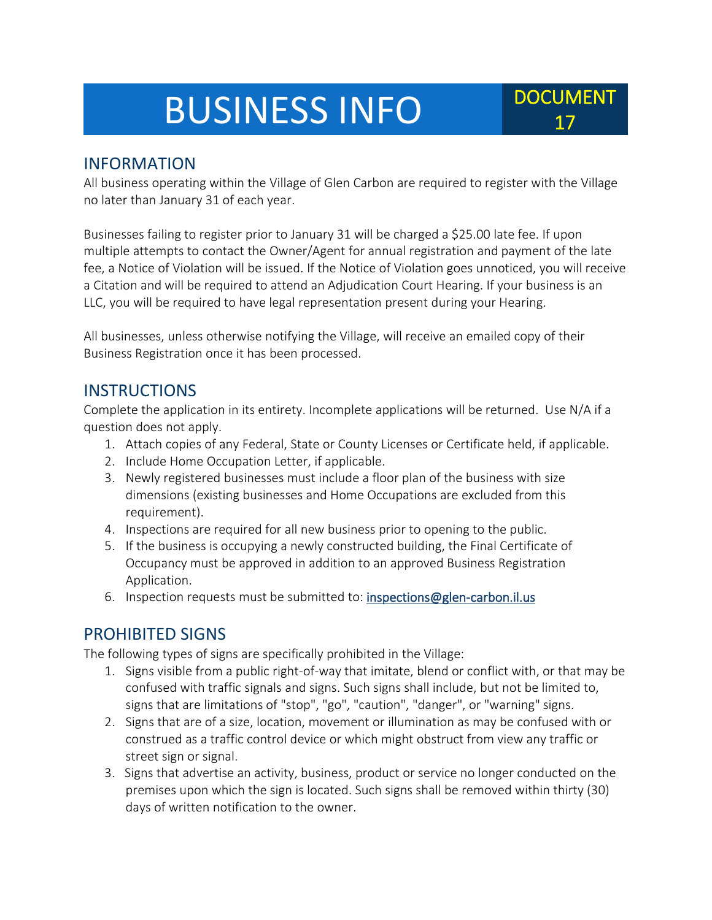# BUSINESS INFO DOCUMENT

#### INFORMATION

All business operating within the Village of Glen Carbon are required to register with the Village no later than January 31 of each year.

Businesses failing to register prior to January 31 will be charged a \$25.00 late fee. If upon multiple attempts to contact the Owner/Agent for annual registration and payment of the late fee, a Notice of Violation will be issued. If the Notice of Violation goes unnoticed, you will receive a Citation and will be required to attend an Adjudication Court Hearing. If your business is an LLC, you will be required to have legal representation present during your Hearing.

All businesses, unless otherwise notifying the Village, will receive an emailed copy of their Business Registration once it has been processed.

#### **INSTRUCTIONS**

Complete the application in its entirety. Incomplete applications will be returned. Use N/A if a question does not apply.

- 1. Attach copies of any Federal, State or County Licenses or Certificate held, if applicable.
- 2. Include Home Occupation Letter, if applicable.
- 3. Newly registered businesses must include a floor plan of the business with size dimensions (existing businesses and Home Occupations are excluded from this requirement).
- 4. Inspections are required for all new business prior to opening to the public.
- 5. If the business is occupying a newly constructed building, the Final Certificate of Occupancy must be approved in addition to an approved Business Registration Application.
- 6. Inspection requests must be submitted to: [inspections@glen-carbon.il.us](mailto:inspections@glen-carbon.il.us)

#### PROHIBITED SIGNS

The following types of signs are specifically prohibited in the Village:

- 1. Signs visible from a public right-of-way that imitate, blend or conflict with, or that may be confused with traffic signals and signs. Such signs shall include, but not be limited to, signs that are limitations of "stop", "go", "caution", "danger", or "warning" signs.
- 2. Signs that are of a size, location, movement or illumination as may be confused with or construed as a traffic control device or which might obstruct from view any traffic or street sign or signal.
- 3. Signs that advertise an activity, business, product or service no longer conducted on the premises upon which the sign is located. Such signs shall be removed within thirty (30) days of written notification to the owner.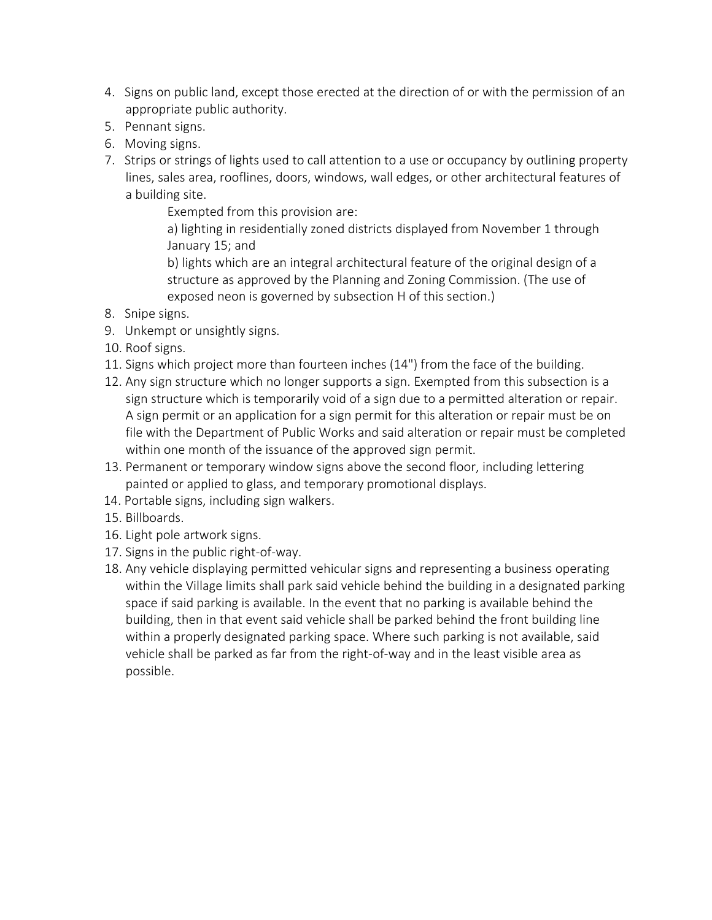- 4. Signs on public land, except those erected at the direction of or with the permission of an appropriate public authority.
- 5. Pennant signs.
- 6. Moving signs.
- 7. Strips or strings of lights used to call attention to a use or occupancy by outlining property lines, sales area, rooflines, doors, windows, wall edges, or other architectural features of a building site.

Exempted from this provision are:

a) lighting in residentially zoned districts displayed from November 1 through January 15; and

b) lights which are an integral architectural feature of the original design of a structure as approved by the Planning and Zoning Commission. (The use of exposed neon is governed by subsection H of this section.)

- 8. Snipe signs.
- 9. Unkempt or unsightly signs.
- 10. Roof signs.
- 11. Signs which project more than fourteen inches (14") from the face of the building.
- 12. Any sign structure which no longer supports a sign. Exempted from this subsection is a sign structure which is temporarily void of a sign due to a permitted alteration or repair. A sign permit or an application for a sign permit for this alteration or repair must be on file with the Department of Public Works and said alteration or repair must be completed within one month of the issuance of the approved sign permit.
- 13. Permanent or temporary window signs above the second floor, including lettering painted or applied to glass, and temporary promotional displays.
- 14. Portable signs, including sign walkers.
- 15. Billboards.
- 16. Light pole artwork signs.
- 17. Signs in the public right-of-way.
- 18. Any vehicle displaying permitted vehicular signs and representing a business operating within the Village limits shall park said vehicle behind the building in a designated parking space if said parking is available. In the event that no parking is available behind the building, then in that event said vehicle shall be parked behind the front building line within a properly designated parking space. Where such parking is not available, said vehicle shall be parked as far from the right-of-way and in the least visible area as possible.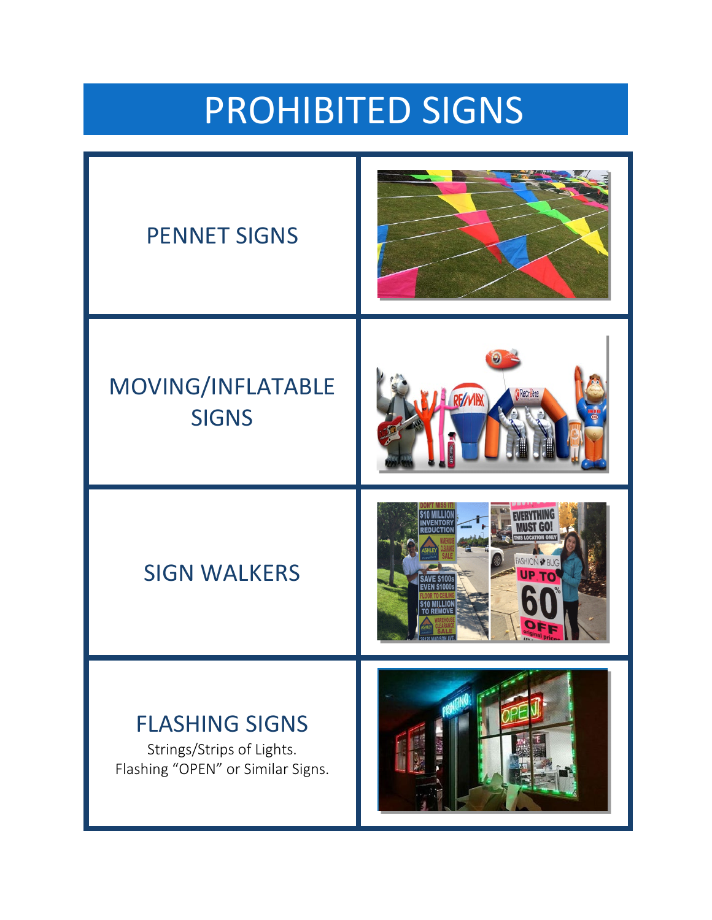# PROHIBITED SIGNS